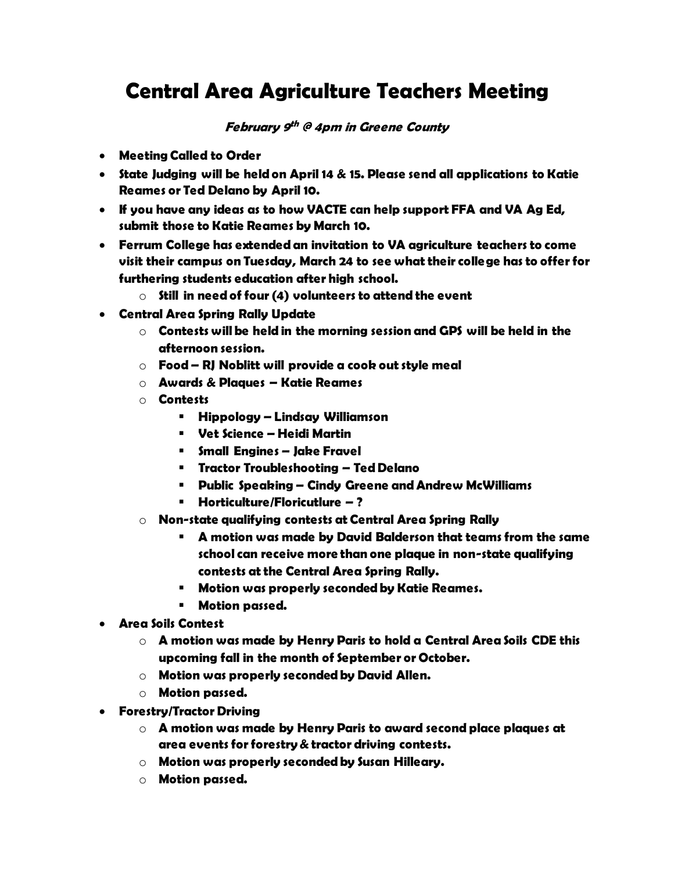## **Central Area Agriculture Teachers Meeting**

## **February 9 th @ 4pm in Greene County**

- **Meeting Called to Order**
- **State Judging will be held on April 14 & 15. Please send all applications to Katie Reames or Ted Delano by April 10.**
- **If you have any ideas as to how VACTE can help support FFA and VA Ag Ed, submit those to Katie Reames by March 10.**
- **Ferrum College has extended an invitation to VA agriculture teachers to come visit their campus on Tuesday, March 24 to see what their college has to offer for furthering students education after high school.**
	- o **Still in need of four (4) volunteers to attend the event**
- **Central Area Spring Rally Update**
	- o **Contests will be held in the morning session and GPS will be held in the afternoon session.**
	- o **Food – RJ Noblitt will provide a cook out style meal**
	- o **Awards & Plaques – Katie Reames**
	- o **Contests**
		- **Hippology – Lindsay Williamson**
		- **Vet Science – Heidi Martin**
		- **Small Engines – Jake Fravel**
		- **Tractor Troubleshooting – Ted Delano**
		- **Public Speaking – Cindy Greene and Andrew McWilliams**
		- **Horticulture/Floricutlure – ?**
	- o **Non-state qualifying contests at Central Area Spring Rally**
		- **A motion was made by David Balderson that teams from the same school can receive more than one plaque in non-state qualifying contests at the Central Area Spring Rally.**
		- **Motion was properly seconded by Katie Reames.**
		- **Motion passed.**
- **Area Soils Contest**
	- o **A motion was made by Henry Paris to hold a Central Area Soils CDE this upcoming fall in the month of September or October.**
	- o **Motion was properly seconded by David Allen.**
	- o **Motion passed.**
- **Forestry/Tractor Driving**
	- o **A motion was made by Henry Paris to award second place plaques at area events for forestry & tractor driving contests.**
	- o **Motion was properly seconded by Susan Hilleary.**
	- o **Motion passed.**